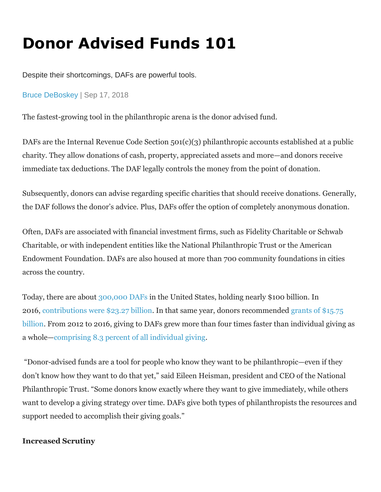## **Donor Advised Funds 101**

Despite their shortcomings, DAFs are powerful tools.

[Bruce DeBoskey](https://www.wealthmanagement.com/author/Bruce-DeBoskey) | Sep 17, 2018

The fastest-growing tool in the philanthropic arena is the donor advised fund.

DAFs are the Internal Revenue Code Section 501(c)(3) philanthropic accounts established at a public charity. They allow donations of cash, property, appreciated assets and more—and donors receive immediate tax deductions. The DAF legally controls the money from the point of donation.

Subsequently, donors can advise regarding specific charities that should receive donations. Generally, the DAF follows the donor's advice. Plus, DAFs offer the option of completely anonymous donation.

Often, DAFs are associated with financial investment firms, such as Fidelity Charitable or Schwab Charitable, or with independent entities like the National Philanthropic Trust or the American Endowment Foundation. DAFs are also housed at more than 700 community foundations in cities across the country.

Today, there are about [300,000 DAFs](https://www.nptrust.org/daf-report/) in the United States, holding nearly \$100 billion. In 2016, [contributions were \\$23.27 billion.](https://www.nptrust.org/daf-report) In that same year, donors recommended [grants of \\$15.75](https://www.nptrust.org/daf-report)  [billion.](https://www.nptrust.org/daf-report) From 2012 to 2016, giving to DAFs grew more than four times faster than individual giving as a whole—[comprising 8.3 percent of all individual giving.](https://ips-dc.org/wp-content/uploads/2018/07/Warehousing-Wealth-IPS-Report-1.pdf)

"Donor-advised funds are a tool for people who know they want to be philanthropic—even if they don't know how they want to do that yet," said Eileen Heisman, president and CEO of the National Philanthropic Trust. "Some donors know exactly where they want to give immediately, while others want to develop a giving strategy over time. DAFs give both types of philanthropists the resources and support needed to accomplish their giving goals."

## **Increased Scrutiny**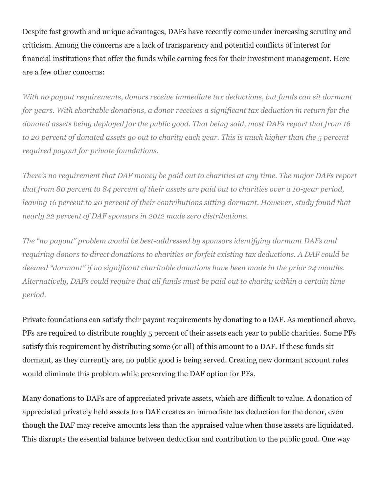Despite fast growth and unique advantages, DAFs have recently come under increasing scrutiny and criticism. Among the concerns are a lack of transparency and potential conflicts of interest for financial institutions that offer the funds while earning fees for their investment management. Here are a few other concerns:

*With no payout requirements, donors receive immediate tax deductions, but funds can sit dormant for years. With charitable donations, a donor receives a significant tax deduction in return for the donated assets being deployed for the public good. That being said, most DAFs report that from 16 to 20 percent of donated assets go out to charity each year. This is much higher than the 5 percent required payout for private foundations.*

*There's no requirement that DAF money be paid out to charities at any time. The major DAFs report that from 80 percent to 84 percent of their assets are paid out to charities over a 10-year period, leaving 16 percent to 20 percent of their contributions sitting dormant. However, study found that nearly 22 percent of DAF sponsors in 2012 made zero distributions.*

*The "no payout" problem would be best-addressed by sponsors identifying dormant DAFs and requiring donors to direct donations to charities or forfeit existing tax deductions. A DAF could be deemed "dormant" if no significant charitable donations have been made in the prior 24 months. Alternatively, DAFs could require that all funds must be paid out to charity within a certain time period.*

Private foundations can satisfy their payout requirements by donating to a DAF. As mentioned above, PFs are required to distribute roughly 5 percent of their assets each year to public charities. Some PFs satisfy this requirement by distributing some (or all) of this amount to a DAF. If these funds sit dormant, as they currently are, no public good is being served. Creating new dormant account rules would eliminate this problem while preserving the DAF option for PFs.

Many donations to DAFs are of appreciated private assets, which are difficult to value. A donation of appreciated privately held assets to a DAF creates an immediate tax deduction for the donor, even though the DAF may receive amounts less than the appraised value when those assets are liquidated. This disrupts the essential balance between deduction and contribution to the public good. One way